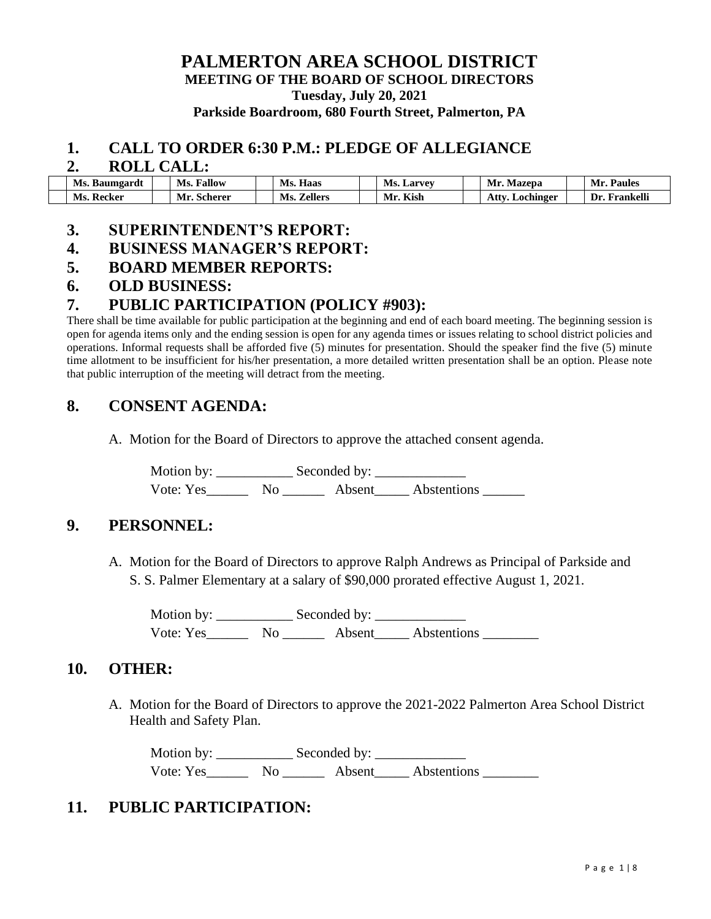# **PALMERTON AREA SCHOOL DISTRICT MEETING OF THE BOARD OF SCHOOL DIRECTORS Tuesday, July 20, 2021 Parkside Boardroom, 680 Fourth Street, Palmerton, PA**

### **1. CALL TO ORDER 6:30 P.M.: PLEDGE OF ALLEGIANCE**

#### **2. ROLL CALL:**

| Ms. Baumgardt | <b>Fallow</b><br>Ms. | Haas<br>Ms.           | Ms.<br>. Larvev | Mazepa<br>Mr.          | Mr.<br><b>Paules</b> |
|---------------|----------------------|-----------------------|-----------------|------------------------|----------------------|
| Ms.<br>Recker | Mr. Scherer          | <b>Zellers</b><br>Ms. | . Kish<br>Mr    | <b>Atty. Lochinger</b> | Frankelli<br>Dr.     |

### **3. SUPERINTENDENT'S REPORT:**

### **4. BUSINESS MANAGER'S REPORT:**

### **5. BOARD MEMBER REPORTS:**

#### **6. OLD BUSINESS:**

## **7. PUBLIC PARTICIPATION (POLICY #903):**

There shall be time available for public participation at the beginning and end of each board meeting. The beginning session is open for agenda items only and the ending session is open for any agenda times or issues relating to school district policies and operations. Informal requests shall be afforded five (5) minutes for presentation. Should the speaker find the five (5) minute time allotment to be insufficient for his/her presentation, a more detailed written presentation shall be an option. Please note that public interruption of the meeting will detract from the meeting.

# **8. CONSENT AGENDA:**

A. Motion for the Board of Directors to approve the attached consent agenda.

Motion by: \_\_\_\_\_\_\_\_\_\_\_ Seconded by: \_\_\_\_\_\_\_\_\_\_\_\_\_ Vote: Yes\_\_\_\_\_\_ No \_\_\_\_\_\_ Absent\_\_\_\_\_ Abstentions \_\_\_\_\_\_

## **9. PERSONNEL:**

A. Motion for the Board of Directors to approve Ralph Andrews as Principal of Parkside and S. S. Palmer Elementary at a salary of \$90,000 prorated effective August 1, 2021.

Motion by: Seconded by: Vote: Yes No No Absent Abstentions

## **10. OTHER:**

A. Motion for the Board of Directors to approve the 2021-2022 Palmerton Area School District Health and Safety Plan.

Motion by: \_\_\_\_\_\_\_\_\_\_\_ Seconded by: \_\_\_\_\_\_\_\_\_\_\_\_\_ Vote: Yes Mo Absent Abstentions

## **11. PUBLIC PARTICIPATION:**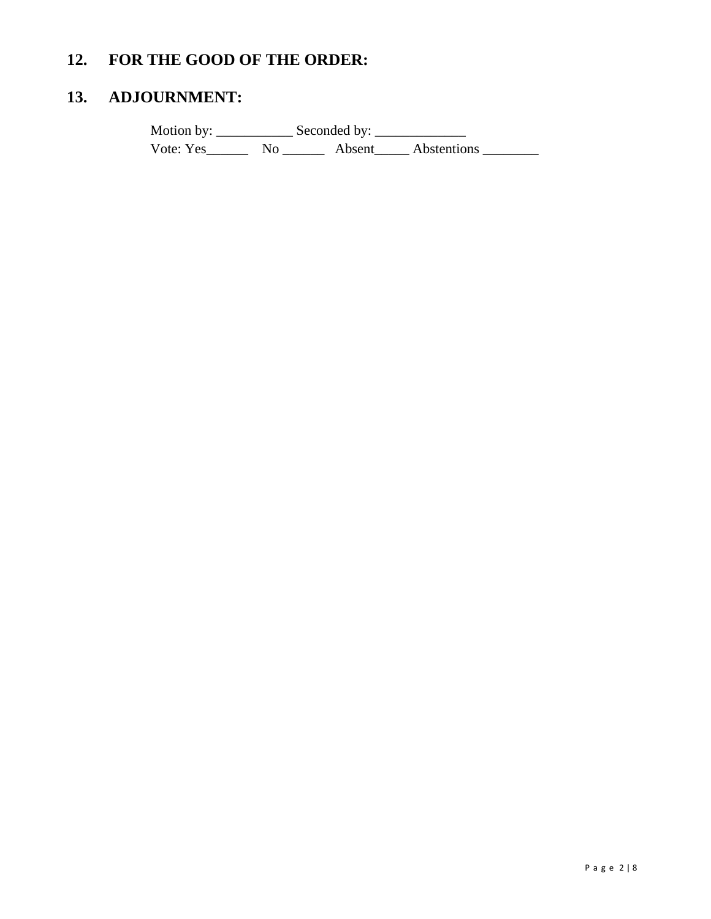# **12. FOR THE GOOD OF THE ORDER:**

# **13. ADJOURNMENT:**

Motion by: \_\_\_\_\_\_\_\_\_\_\_ Seconded by: \_\_\_\_\_\_\_\_\_\_\_\_\_ Vote: Yes\_\_\_\_\_\_\_\_\_ No \_\_\_\_\_\_\_\_\_ Absent\_\_\_\_\_\_ Abstentions \_\_\_\_\_\_\_\_\_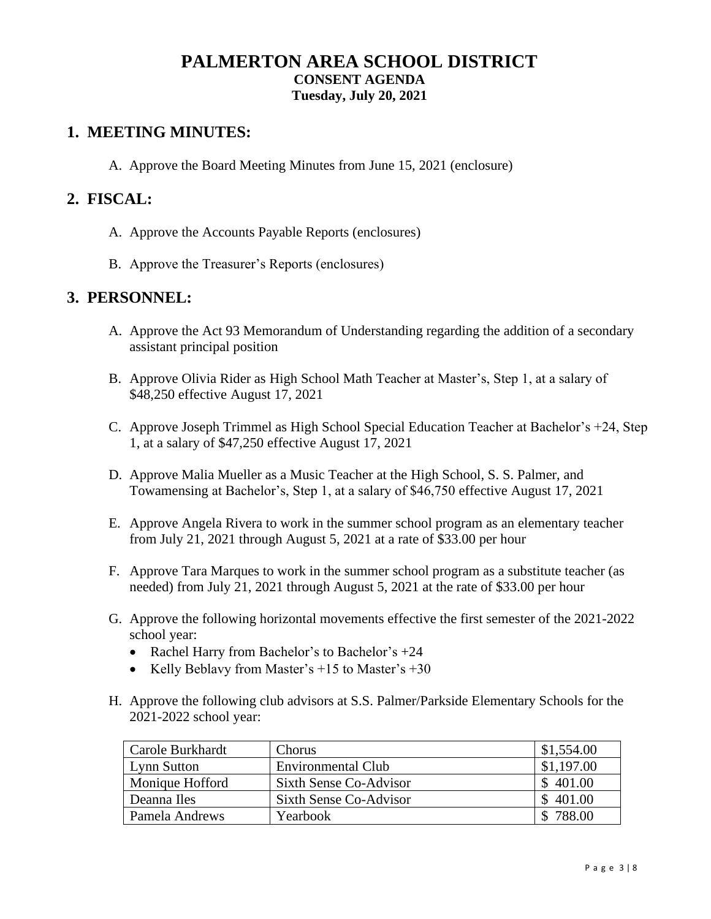# **PALMERTON AREA SCHOOL DISTRICT CONSENT AGENDA Tuesday, July 20, 2021**

# **1. MEETING MINUTES:**

A. Approve the Board Meeting Minutes from June 15, 2021 (enclosure)

## **2. FISCAL:**

- A. Approve the Accounts Payable Reports (enclosures)
- B. Approve the Treasurer's Reports (enclosures)

## **3. PERSONNEL:**

- A. Approve the Act 93 Memorandum of Understanding regarding the addition of a secondary assistant principal position
- B. Approve Olivia Rider as High School Math Teacher at Master's, Step 1, at a salary of \$48,250 effective August 17, 2021
- C. Approve Joseph Trimmel as High School Special Education Teacher at Bachelor's +24, Step 1, at a salary of \$47,250 effective August 17, 2021
- D. Approve Malia Mueller as a Music Teacher at the High School, S. S. Palmer, and Towamensing at Bachelor's, Step 1, at a salary of \$46,750 effective August 17, 2021
- E. Approve Angela Rivera to work in the summer school program as an elementary teacher from July 21, 2021 through August 5, 2021 at a rate of \$33.00 per hour
- F. Approve Tara Marques to work in the summer school program as a substitute teacher (as needed) from July 21, 2021 through August 5, 2021 at the rate of \$33.00 per hour
- G. Approve the following horizontal movements effective the first semester of the 2021-2022 school year:
	- Rachel Harry from Bachelor's to Bachelor's +24
	- Kelly Beblavy from Master's  $+15$  to Master's  $+30$
- H. Approve the following club advisors at S.S. Palmer/Parkside Elementary Schools for the 2021-2022 school year:

| Carole Burkhardt | Chorus                    | \$1,554.00 |
|------------------|---------------------------|------------|
| Lynn Sutton      | <b>Environmental Club</b> | \$1,197.00 |
| Monique Hofford  | Sixth Sense Co-Advisor    | \$401.00   |
| Deanna Iles      | Sixth Sense Co-Advisor    | \$401.00   |
| Pamela Andrews   | Yearbook                  | 788.00     |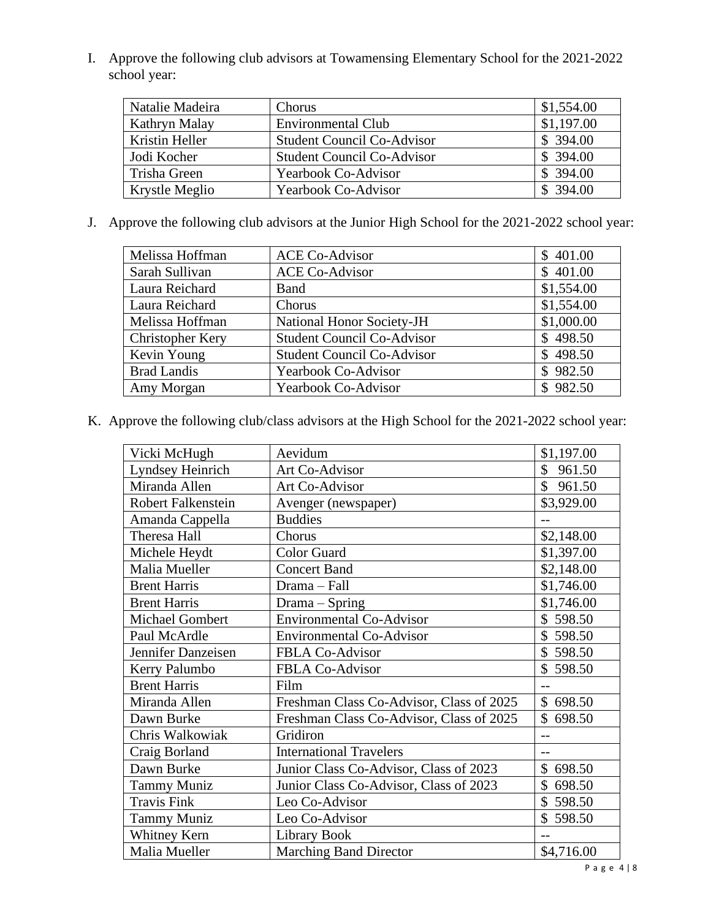I. Approve the following club advisors at Towamensing Elementary School for the 2021-2022 school year:

| Natalie Madeira | Chorus                            | \$1,554.00 |
|-----------------|-----------------------------------|------------|
| Kathryn Malay   | <b>Environmental Club</b>         | \$1,197.00 |
| Kristin Heller  | <b>Student Council Co-Advisor</b> | \$394.00   |
| Jodi Kocher     | <b>Student Council Co-Advisor</b> | \$394.00   |
| Trisha Green    | <b>Yearbook Co-Advisor</b>        | \$394.00   |
| Krystle Meglio  | <b>Yearbook Co-Advisor</b>        | \$394.00   |

J. Approve the following club advisors at the Junior High School for the 2021-2022 school year:

| Melissa Hoffman         | <b>ACE Co-Advisor</b>             | \$401.00   |
|-------------------------|-----------------------------------|------------|
| Sarah Sullivan          | <b>ACE Co-Advisor</b>             | \$401.00   |
| Laura Reichard          | Band                              | \$1,554.00 |
| Laura Reichard          | Chorus                            | \$1,554.00 |
| Melissa Hoffman         | <b>National Honor Society-JH</b>  | \$1,000.00 |
| <b>Christopher Kery</b> | <b>Student Council Co-Advisor</b> | \$498.50   |
| Kevin Young             | <b>Student Council Co-Advisor</b> | \$498.50   |
| <b>Brad Landis</b>      | <b>Yearbook Co-Advisor</b>        | \$982.50   |
| Amy Morgan              | <b>Yearbook Co-Advisor</b>        | \$982.50   |

K. Approve the following club/class advisors at the High School for the 2021-2022 school year:

| Vicki McHugh              | Aevidum                                  | \$1,197.00   |
|---------------------------|------------------------------------------|--------------|
| Lyndsey Heinrich          | Art Co-Advisor                           | \$<br>961.50 |
| Miranda Allen             | Art Co-Advisor                           | \$<br>961.50 |
| <b>Robert Falkenstein</b> | Avenger (newspaper)                      | \$3,929.00   |
| Amanda Cappella           | <b>Buddies</b>                           |              |
| Theresa Hall              | Chorus                                   | \$2,148.00   |
| Michele Heydt             | <b>Color Guard</b>                       | \$1,397.00   |
| Malia Mueller             | <b>Concert Band</b>                      | \$2,148.00   |
| <b>Brent Harris</b>       | Drama - Fall                             | \$1,746.00   |
| <b>Brent Harris</b>       | Drama – Spring                           | \$1,746.00   |
| <b>Michael Gombert</b>    | <b>Environmental Co-Advisor</b>          | \$598.50     |
| Paul McArdle              | <b>Environmental Co-Advisor</b>          | \$<br>598.50 |
| Jennifer Danzeisen        | FBLA Co-Advisor                          | \$598.50     |
| Kerry Palumbo             | FBLA Co-Advisor                          | \$598.50     |
| <b>Brent Harris</b>       | Film                                     | $-$          |
| Miranda Allen             | Freshman Class Co-Advisor, Class of 2025 | \$<br>698.50 |
| Dawn Burke                | Freshman Class Co-Advisor, Class of 2025 | \$698.50     |
| Chris Walkowiak           | Gridiron                                 |              |
| Craig Borland             | <b>International Travelers</b>           | $-$          |
| Dawn Burke                | Junior Class Co-Advisor, Class of 2023   | 698.50       |
| <b>Tammy Muniz</b>        | Junior Class Co-Advisor, Class of 2023   | \$<br>698.50 |
| <b>Travis Fink</b>        | Leo Co-Advisor                           | \$<br>598.50 |
| <b>Tammy Muniz</b>        | Leo Co-Advisor                           | \$<br>598.50 |
| Whitney Kern              | Library Book                             |              |
| Malia Mueller             | <b>Marching Band Director</b>            | \$4,716.00   |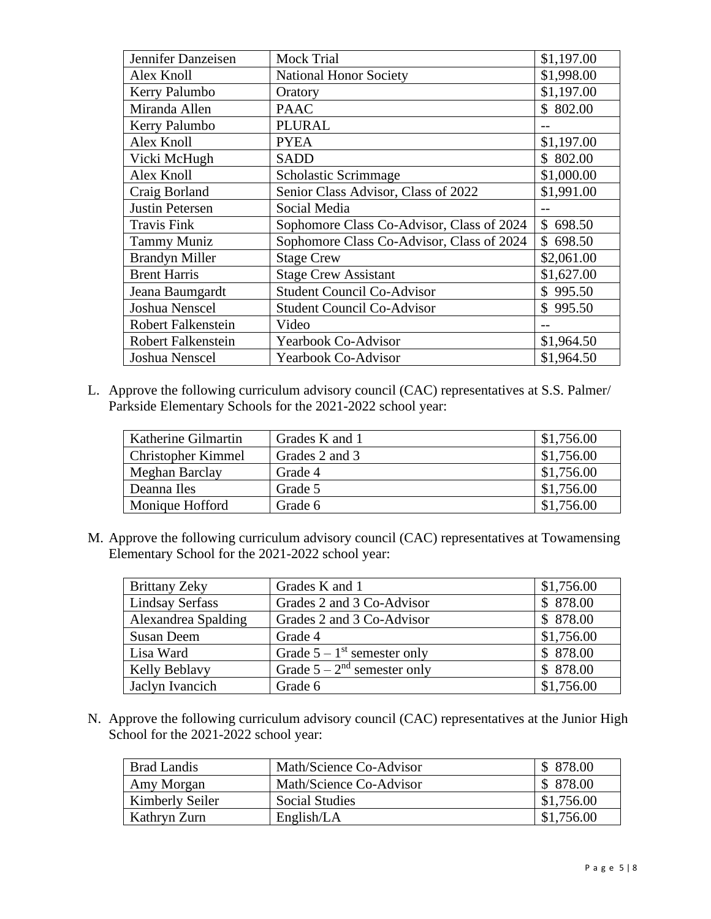| Jennifer Danzeisen        | Mock Trial                                | \$1,197.00   |
|---------------------------|-------------------------------------------|--------------|
| Alex Knoll                | <b>National Honor Society</b>             | \$1,998.00   |
| Kerry Palumbo             | Oratory                                   | \$1,197.00   |
| Miranda Allen             | <b>PAAC</b>                               | \$802.00     |
| Kerry Palumbo             | <b>PLURAL</b>                             |              |
| Alex Knoll                | <b>PYEA</b>                               | \$1,197.00   |
| Vicki McHugh              | <b>SADD</b>                               | \$802.00     |
| Alex Knoll                | Scholastic Scrimmage                      | \$1,000.00   |
| Craig Borland             | Senior Class Advisor, Class of 2022       | \$1,991.00   |
| <b>Justin Petersen</b>    | Social Media                              |              |
| <b>Travis Fink</b>        | Sophomore Class Co-Advisor, Class of 2024 | 698.50<br>\$ |
| <b>Tammy Muniz</b>        | Sophomore Class Co-Advisor, Class of 2024 | 698.50<br>\$ |
| <b>Brandyn Miller</b>     | <b>Stage Crew</b>                         | \$2,061.00   |
| <b>Brent Harris</b>       | <b>Stage Crew Assistant</b>               | \$1,627.00   |
| Jeana Baumgardt           | <b>Student Council Co-Advisor</b>         | \$<br>995.50 |
| Joshua Nenscel            | <b>Student Council Co-Advisor</b>         | \$995.50     |
| <b>Robert Falkenstein</b> | Video                                     |              |
| Robert Falkenstein        | Yearbook Co-Advisor                       | \$1,964.50   |
| Joshua Nenscel            | <b>Yearbook Co-Advisor</b>                | \$1,964.50   |

L. Approve the following curriculum advisory council (CAC) representatives at S.S. Palmer/ Parkside Elementary Schools for the 2021-2022 school year:

| Katherine Gilmartin       | Grades K and 1 | \$1,756.00 |
|---------------------------|----------------|------------|
| <b>Christopher Kimmel</b> | Grades 2 and 3 | \$1,756.00 |
| Meghan Barclay            | Grade 4        | \$1,756.00 |
| Deanna Iles               | Grade 5        | \$1,756.00 |
| Monique Hofford           | Grade 6        | \$1,756.00 |

M. Approve the following curriculum advisory council (CAC) representatives at Towamensing Elementary School for the 2021-2022 school year:

| <b>Brittany Zeky</b>   | Grades K and 1                            | \$1,756.00 |
|------------------------|-------------------------------------------|------------|
| <b>Lindsay Serfass</b> | Grades 2 and 3 Co-Advisor                 | \$878.00   |
| Alexandrea Spalding    | Grades 2 and 3 Co-Advisor                 | \$878.00   |
| <b>Susan Deem</b>      | Grade 4                                   | \$1,756.00 |
| Lisa Ward              | Grade $5 - 1$ <sup>st</sup> semester only | \$878.00   |
| <b>Kelly Beblavy</b>   | Grade $5 - 2nd$ semester only             | \$878.00   |
| Jaclyn Ivancich        | Grade 6                                   | \$1,756.00 |

N. Approve the following curriculum advisory council (CAC) representatives at the Junior High School for the 2021-2022 school year:

| <b>Brad Landis</b> | Math/Science Co-Advisor | \$878.00   |
|--------------------|-------------------------|------------|
| Amy Morgan         | Math/Science Co-Advisor | \$878.00   |
| Kimberly Seiler    | Social Studies          | \$1,756.00 |
| Kathryn Zurn       | English/LA              | \$1,756.00 |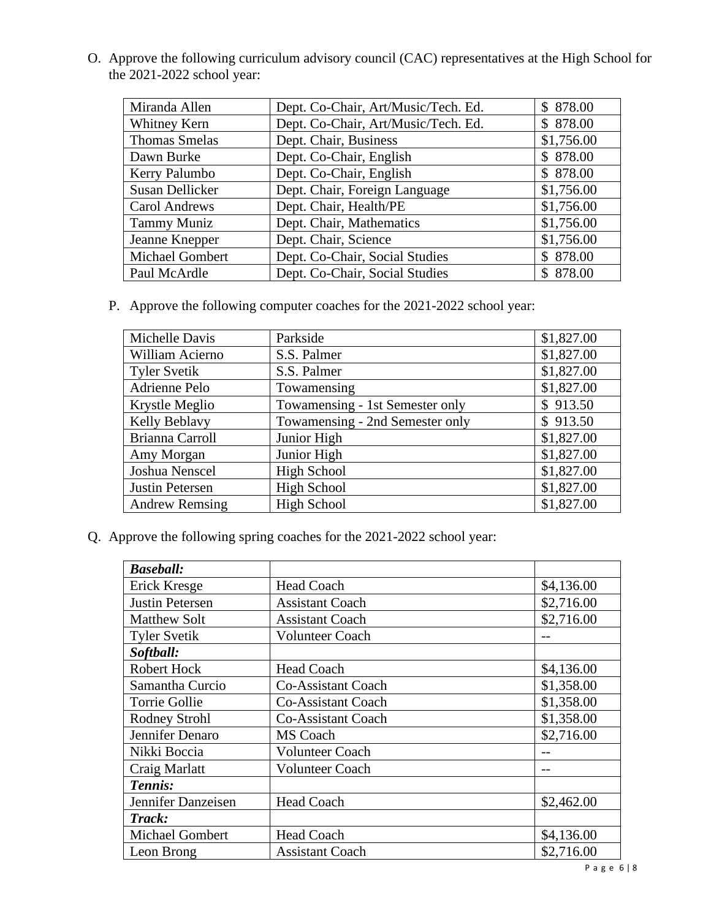O. Approve the following curriculum advisory council (CAC) representatives at the High School for the 2021-2022 school year:

| Miranda Allen        | Dept. Co-Chair, Art/Music/Tech. Ed. | \$878.00     |
|----------------------|-------------------------------------|--------------|
| Whitney Kern         | Dept. Co-Chair, Art/Music/Tech. Ed. | \$878.00     |
| <b>Thomas Smelas</b> | Dept. Chair, Business               | \$1,756.00   |
| Dawn Burke           | Dept. Co-Chair, English             | \$878.00     |
| Kerry Palumbo        | Dept. Co-Chair, English             | \$878.00     |
| Susan Dellicker      | Dept. Chair, Foreign Language       | \$1,756.00   |
| <b>Carol Andrews</b> | Dept. Chair, Health/PE              | \$1,756.00   |
| <b>Tammy Muniz</b>   | Dept. Chair, Mathematics            | \$1,756.00   |
| Jeanne Knepper       | Dept. Chair, Science                | \$1,756.00   |
| Michael Gombert      | Dept. Co-Chair, Social Studies      | \$878.00     |
| Paul McArdle         | Dept. Co-Chair, Social Studies      | 878.00<br>S. |

P. Approve the following computer coaches for the 2021-2022 school year:

| Michelle Davis         | Parkside                        | \$1,827.00 |
|------------------------|---------------------------------|------------|
| William Acierno        | S.S. Palmer                     | \$1,827.00 |
| <b>Tyler Svetik</b>    | S.S. Palmer                     | \$1,827.00 |
| Adrienne Pelo          | Towamensing                     | \$1,827.00 |
| Krystle Meglio         | Towamensing - 1st Semester only | \$913.50   |
| Kelly Beblavy          | Towamensing - 2nd Semester only | \$913.50   |
| Brianna Carroll        | Junior High                     | \$1,827.00 |
| Amy Morgan             | Junior High                     | \$1,827.00 |
| Joshua Nenscel         | <b>High School</b>              | \$1,827.00 |
| <b>Justin Petersen</b> | <b>High School</b>              | \$1,827.00 |
| <b>Andrew Remsing</b>  | <b>High School</b>              | \$1,827.00 |

Q. Approve the following spring coaches for the 2021-2022 school year:

| <b>Baseball:</b>       |                           |            |
|------------------------|---------------------------|------------|
| Erick Kresge           | <b>Head Coach</b>         | \$4,136.00 |
| <b>Justin Petersen</b> | <b>Assistant Coach</b>    | \$2,716.00 |
| <b>Matthew Solt</b>    | <b>Assistant Coach</b>    | \$2,716.00 |
| <b>Tyler Svetik</b>    | <b>Volunteer Coach</b>    |            |
| Softball:              |                           |            |
| <b>Robert Hock</b>     | <b>Head Coach</b>         | \$4,136.00 |
| Samantha Curcio        | <b>Co-Assistant Coach</b> | \$1,358.00 |
| Torrie Gollie          | <b>Co-Assistant Coach</b> | \$1,358.00 |
| <b>Rodney Strohl</b>   | Co-Assistant Coach        | \$1,358.00 |
| Jennifer Denaro        | MS Coach                  | \$2,716.00 |
| Nikki Boccia           | <b>Volunteer Coach</b>    |            |
| Craig Marlatt          | <b>Volunteer Coach</b>    | --         |
| Tennis:                |                           |            |
| Jennifer Danzeisen     | <b>Head Coach</b>         | \$2,462.00 |
| Track:                 |                           |            |
| <b>Michael Gombert</b> | <b>Head Coach</b>         | \$4,136.00 |
| Leon Brong             | <b>Assistant Coach</b>    | \$2,716.00 |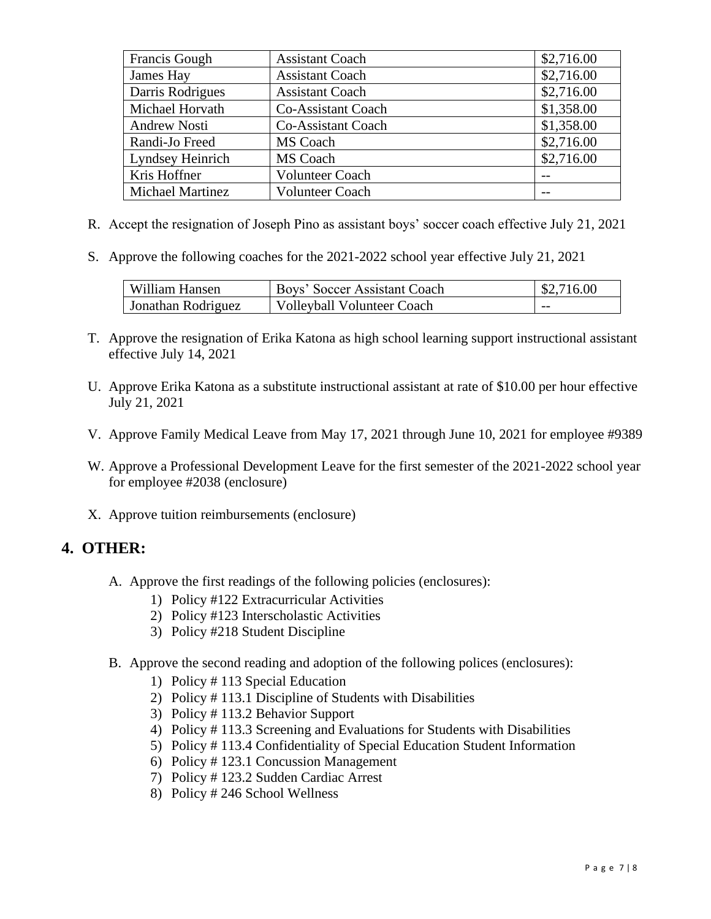| Francis Gough       | <b>Assistant Coach</b> | \$2,716.00 |
|---------------------|------------------------|------------|
| James Hay           | <b>Assistant Coach</b> | \$2,716.00 |
| Darris Rodrigues    | <b>Assistant Coach</b> | \$2,716.00 |
| Michael Horvath     | Co-Assistant Coach     | \$1,358.00 |
| <b>Andrew Nosti</b> | Co-Assistant Coach     | \$1,358.00 |
| Randi-Jo Freed      | MS Coach               | \$2,716.00 |
| Lyndsey Heinrich    | MS Coach               | \$2,716.00 |
| Kris Hoffner        | <b>Volunteer Coach</b> |            |
| Michael Martinez    | Volunteer Coach        |            |

- R. Accept the resignation of Joseph Pino as assistant boys' soccer coach effective July 21, 2021
- S. Approve the following coaches for the 2021-2022 school year effective July 21, 2021

| William Hansen     | Boys' Soccer Assistant Coach      | $\frac{$2,716.00}{ }$ |
|--------------------|-----------------------------------|-----------------------|
| Jonathan Rodriguez | <b>Volleyball Volunteer Coach</b> | $- -$                 |

- T. Approve the resignation of Erika Katona as high school learning support instructional assistant effective July 14, 2021
- U. Approve Erika Katona as a substitute instructional assistant at rate of \$10.00 per hour effective July 21, 2021
- V. Approve Family Medical Leave from May 17, 2021 through June 10, 2021 for employee #9389
- W. Approve a Professional Development Leave for the first semester of the 2021-2022 school year for employee #2038 (enclosure)
- X. Approve tuition reimbursements (enclosure)

# **4. OTHER:**

- A. Approve the first readings of the following policies (enclosures):
	- 1) Policy #122 Extracurricular Activities
	- 2) Policy #123 Interscholastic Activities
	- 3) Policy #218 Student Discipline
- B. Approve the second reading and adoption of the following polices (enclosures):
	- 1) Policy # 113 Special Education
	- 2) Policy # 113.1 Discipline of Students with Disabilities
	- 3) Policy # 113.2 Behavior Support
	- 4) Policy # 113.3 Screening and Evaluations for Students with Disabilities
	- 5) Policy # 113.4 Confidentiality of Special Education Student Information
	- 6) Policy # 123.1 Concussion Management
	- 7) Policy # 123.2 Sudden Cardiac Arrest
	- 8) Policy # 246 School Wellness